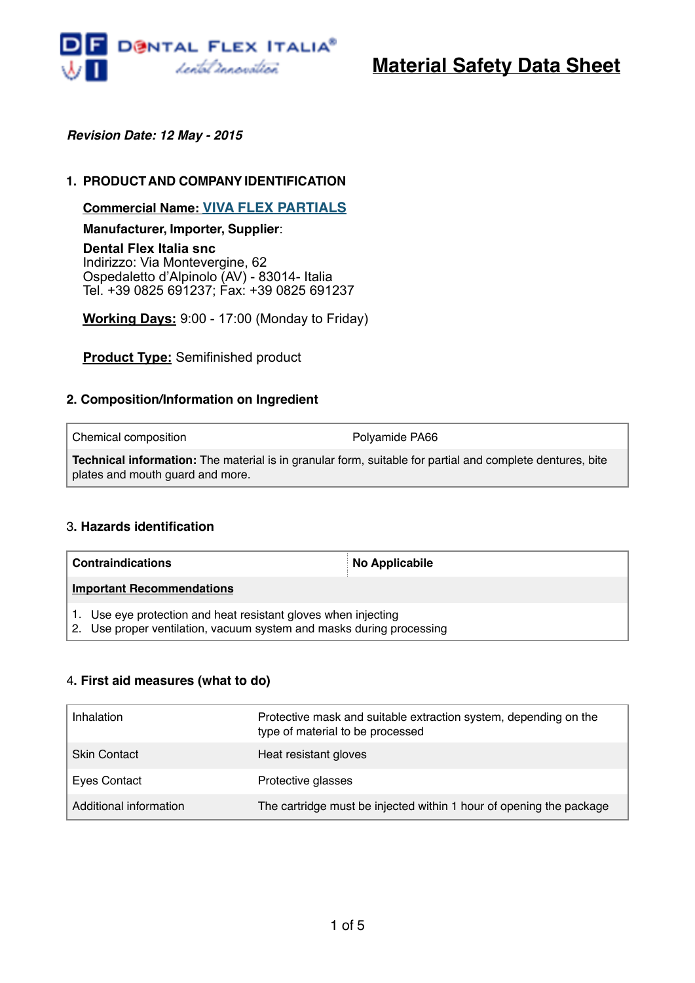

# **Material Safety Data Sheet**

*Revision Date: 12 May - 2015*

## **1. PRODUCTAND COMPANYIDENTIFICATION**

**Commercial Name: VIVA FLEX PARTIALS**

**Manufacturer, Importer, Supplier**:

**Dental Flex Italia snc** Indirizzo: Via Montevergine, 62 Ospedaletto d'Alpinolo (AV) - 83014- Italia Tel. +39 0825 691237; Fax: +39 0825 691237

**Working Days:** 9:00 - 17:00 (Monday to Friday)

**Product Type:** Semifinished product

## **2. Composition/Information on Ingredient**

| Chemical composition                                                                                                                                 | Polyamide PA66 |
|------------------------------------------------------------------------------------------------------------------------------------------------------|----------------|
| <b>Technical information:</b> The material is in granular form, suitable for partial and complete dentures, bite<br>plates and mouth quard and more. |                |

#### 3**. Hazards identification**

| <b>Contraindications</b>                                                                                                               | <b>No Applicabile</b> |
|----------------------------------------------------------------------------------------------------------------------------------------|-----------------------|
| <b>Important Recommendations</b>                                                                                                       |                       |
| 1. Use eye protection and heat resistant gloves when injecting<br>2. Use proper ventilation, vacuum system and masks during processing |                       |

#### 4**. First aid measures (what to do)**

| Inhalation             | Protective mask and suitable extraction system, depending on the<br>type of material to be processed |
|------------------------|------------------------------------------------------------------------------------------------------|
| <b>Skin Contact</b>    | Heat resistant gloves                                                                                |
| Eyes Contact           | Protective glasses                                                                                   |
| Additional information | The cartridge must be injected within 1 hour of opening the package                                  |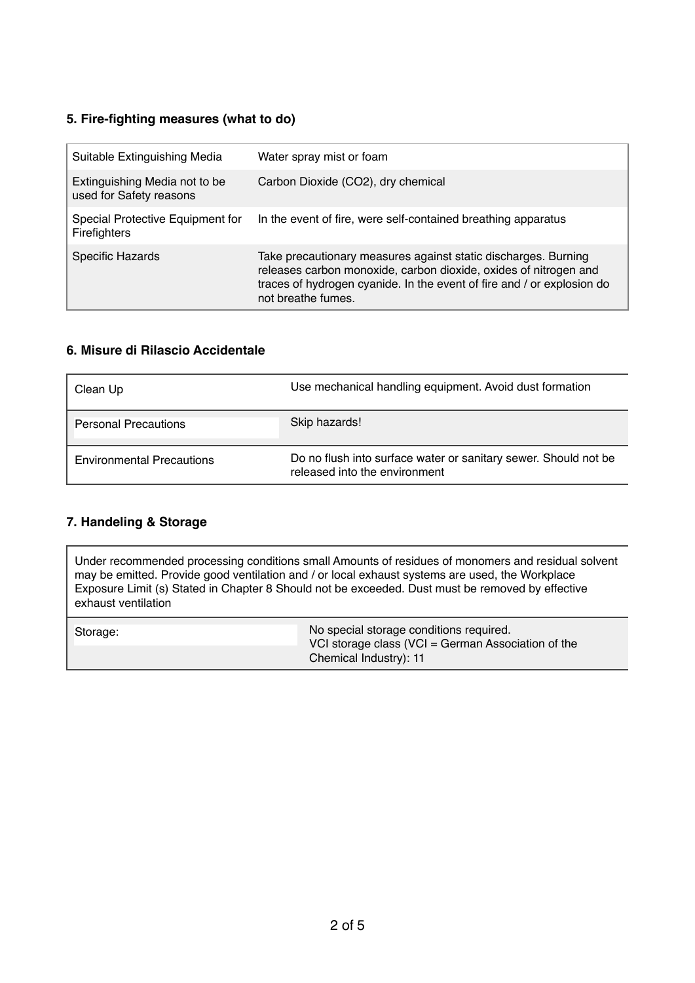## **5. Fire-fighting measures (what to do)**

| Suitable Extinguishing Media                             | Water spray mist or foam                                                                                                                                                                                                           |
|----------------------------------------------------------|------------------------------------------------------------------------------------------------------------------------------------------------------------------------------------------------------------------------------------|
| Extinguishing Media not to be<br>used for Safety reasons | Carbon Dioxide (CO2), dry chemical                                                                                                                                                                                                 |
| Special Protective Equipment for<br>Firefighters         | In the event of fire, were self-contained breathing apparatus                                                                                                                                                                      |
| Specific Hazards                                         | Take precautionary measures against static discharges. Burning<br>releases carbon monoxide, carbon dioxide, oxides of nitrogen and<br>traces of hydrogen cyanide. In the event of fire and / or explosion do<br>not breathe fumes. |

## **6. Misure di Rilascio Accidentale**

| Clean Up                         | Use mechanical handling equipment. Avoid dust formation                                          |
|----------------------------------|--------------------------------------------------------------------------------------------------|
| <b>Personal Precautions</b>      | Skip hazards!                                                                                    |
| <b>Environmental Precautions</b> | Do no flush into surface water or sanitary sewer. Should not be<br>released into the environment |

## **7. Handeling & Storage**

Under recommended processing conditions small Amounts of residues of monomers and residual solvent may be emitted. Provide good ventilation and / or local exhaust systems are used, the Workplace Exposure Limit (s) Stated in Chapter 8 Should not be exceeded. Dust must be removed by effective exhaust ventilation

| Storage: | No special storage conditions required.<br>VCI storage class (VCI = German Association of the |
|----------|-----------------------------------------------------------------------------------------------|
|          | Chemical Industry): 11                                                                        |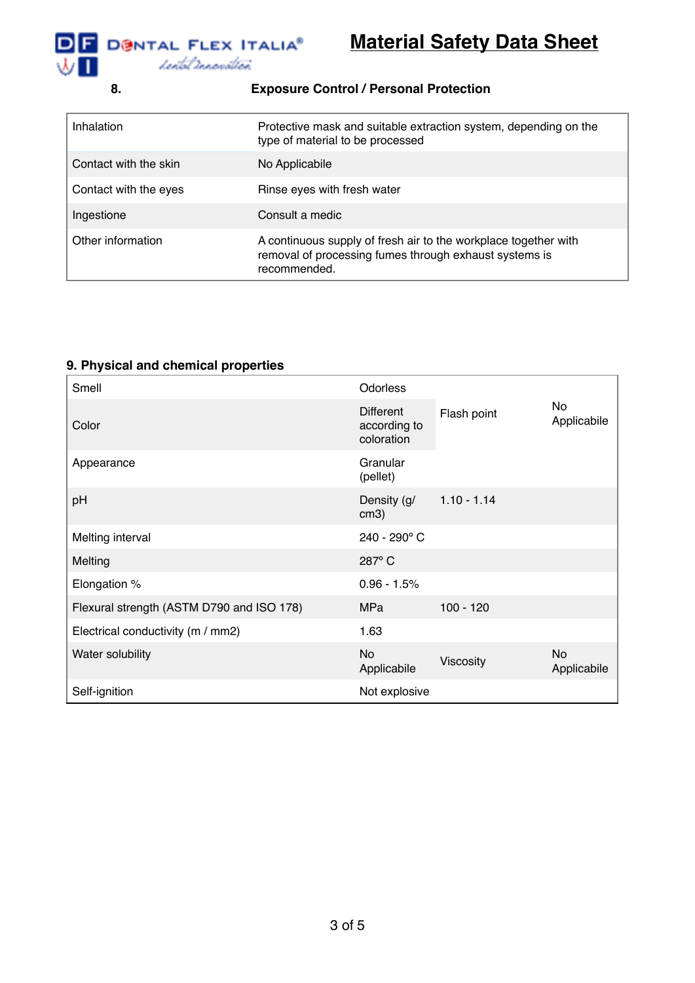

| 8.                    | <b>Exposure Control / Personal Protection</b>                                                                                             |
|-----------------------|-------------------------------------------------------------------------------------------------------------------------------------------|
| Inhalation            | Protective mask and suitable extraction system, depending on the<br>type of material to be processed                                      |
| Contact with the skin | No Applicabile                                                                                                                            |
| Contact with the eyes | Rinse eyes with fresh water                                                                                                               |
| Ingestione            | Consult a medic                                                                                                                           |
| Other information     | A continuous supply of fresh air to the workplace together with<br>removal of processing fumes through exhaust systems is<br>recommended. |

## **9. Physical and chemical properties**

| Smell                                     | Odorless                                       |               |                          |
|-------------------------------------------|------------------------------------------------|---------------|--------------------------|
| Color                                     | <b>Different</b><br>according to<br>coloration | Flash point   | <b>No</b><br>Applicabile |
| Appearance                                | Granular<br>(pellet)                           |               |                          |
| pH                                        | Density (g/<br>cm3)                            | $1.10 - 1.14$ |                          |
| Melting interval                          | 240 - 290° C                                   |               |                          |
| Melting                                   | 287°C                                          |               |                          |
| Elongation %                              | $0.96 - 1.5%$                                  |               |                          |
| Flexural strength (ASTM D790 and ISO 178) | MPa                                            | $100 - 120$   |                          |
| Electrical conductivity (m / mm2)         | 1.63                                           |               |                          |
| Water solubility                          | <b>No</b><br>Applicabile                       | Viscosity     | No<br>Applicabile        |
| Self-ignition                             | Not explosive                                  |               |                          |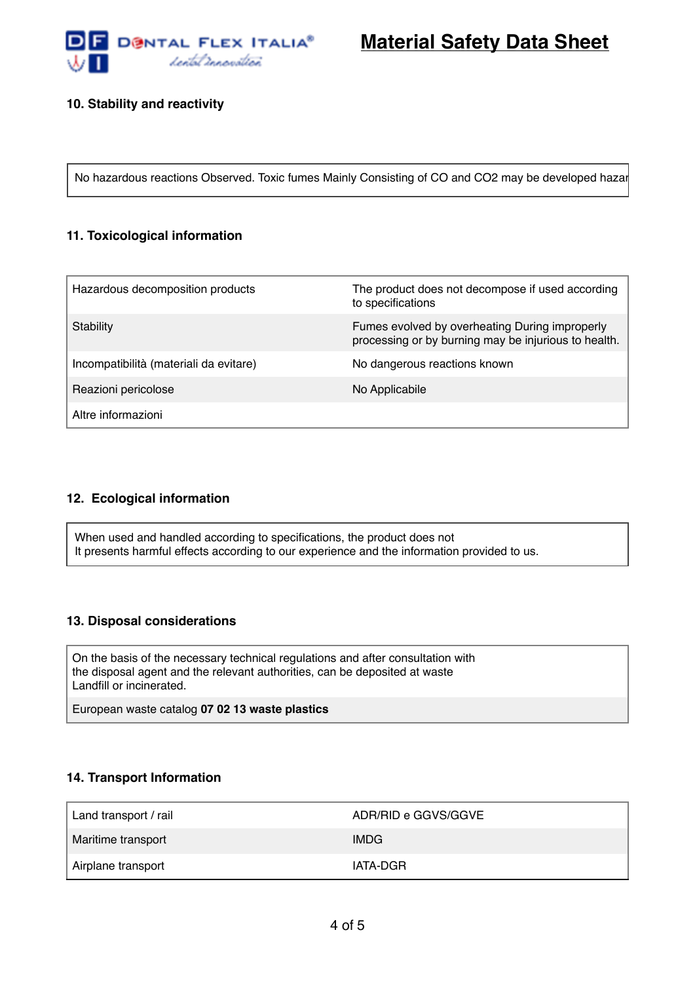

**Material Safety Data Sheet**

## **10. Stability and reactivity**

No hazardous reactions Observed. Toxic fumes Mainly Consisting of CO and CO2 may be developed hazar

## **11. Toxicological information**

| Hazardous decomposition products       | The product does not decompose if used according<br>to specifications                                  |
|----------------------------------------|--------------------------------------------------------------------------------------------------------|
| Stability                              | Fumes evolved by overheating During improperly<br>processing or by burning may be injurious to health. |
| Incompatibilità (materiali da evitare) | No dangerous reactions known                                                                           |
| Reazioni pericolose                    | No Applicabile                                                                                         |
| Altre informazioni                     |                                                                                                        |

#### **12. Ecological information**

When used and handled according to specifications, the product does not It presents harmful effects according to our experience and the information provided to us.

#### **13. Disposal considerations**

On the basis of the necessary technical regulations and after consultation with the disposal agent and the relevant authorities, can be deposited at waste Landfill or incinerated.

European waste catalog **07 02 13 waste plastics**

#### **14. Transport Information**

| Land transport / rail | ADR/RID e GGVS/GGVE |
|-----------------------|---------------------|
| Maritime transport    | <b>IMDG</b>         |
| Airplane transport    | IATA-DGR            |